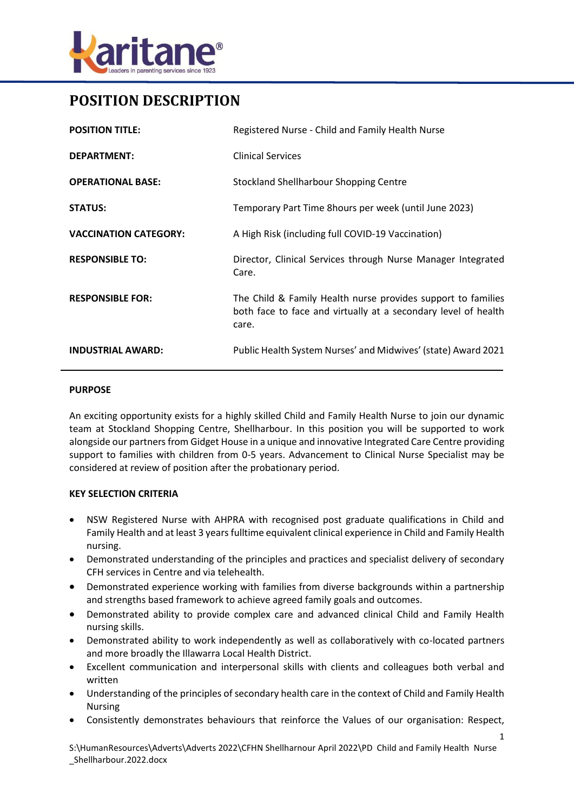

# **POSITION DESCRIPTION**

| <b>POSITION TITLE:</b>       | Registered Nurse - Child and Family Health Nurse                                                                                        |
|------------------------------|-----------------------------------------------------------------------------------------------------------------------------------------|
| <b>DEPARTMENT:</b>           | <b>Clinical Services</b>                                                                                                                |
| <b>OPERATIONAL BASE:</b>     | Stockland Shellharbour Shopping Centre                                                                                                  |
| <b>STATUS:</b>               | Temporary Part Time 8hours per week (until June 2023)                                                                                   |
| <b>VACCINATION CATEGORY:</b> | A High Risk (including full COVID-19 Vaccination)                                                                                       |
| <b>RESPONSIBLE TO:</b>       | Director, Clinical Services through Nurse Manager Integrated<br>Care.                                                                   |
| <b>RESPONSIBLE FOR:</b>      | The Child & Family Health nurse provides support to families<br>both face to face and virtually at a secondary level of health<br>care. |
| <b>INDUSTRIAL AWARD:</b>     | Public Health System Nurses' and Midwives' (state) Award 2021                                                                           |

#### **PURPOSE**

An exciting opportunity exists for a highly skilled Child and Family Health Nurse to join our dynamic team at Stockland Shopping Centre, Shellharbour. In this position you will be supported to work alongside our partners from Gidget House in a unique and innovative Integrated Care Centre providing support to families with children from 0-5 years. Advancement to Clinical Nurse Specialist may be considered at review of position after the probationary period.

#### **KEY SELECTION CRITERIA**

- NSW Registered Nurse with AHPRA with recognised post graduate qualifications in Child and Family Health and at least 3 years fulltime equivalent clinical experience in Child and Family Health nursing.
- Demonstrated understanding of the principles and practices and specialist delivery of secondary CFH services in Centre and via telehealth.
- Demonstrated experience working with families from diverse backgrounds within a partnership and strengths based framework to achieve agreed family goals and outcomes.
- Demonstrated ability to provide complex care and advanced clinical Child and Family Health nursing skills.
- Demonstrated ability to work independently as well as collaboratively with co-located partners and more broadly the Illawarra Local Health District.
- Excellent communication and interpersonal skills with clients and colleagues both verbal and written
- Understanding of the principles of secondary health care in the context of Child and Family Health Nursing
- Consistently demonstrates behaviours that reinforce the Values of our organisation: Respect,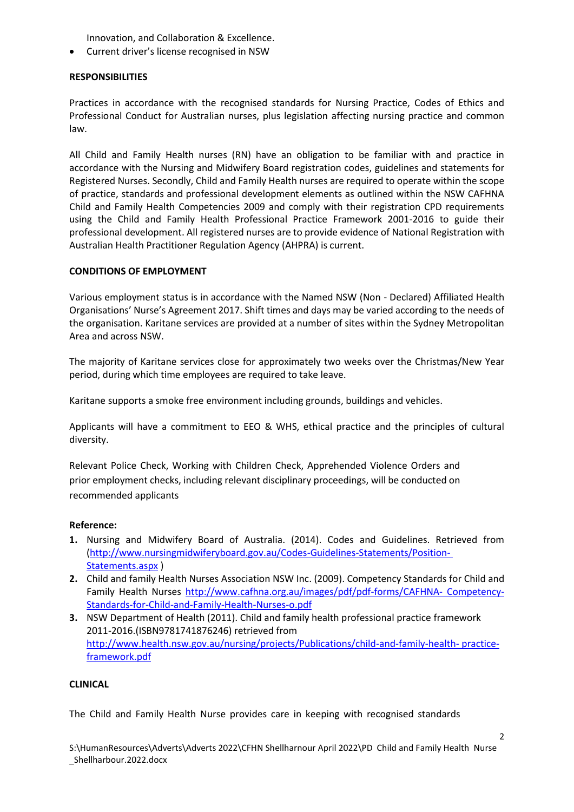Innovation, and Collaboration & Excellence.

Current driver's license recognised in NSW

## **RESPONSIBILITIES**

Practices in accordance with the recognised standards for Nursing Practice, Codes of Ethics and Professional Conduct for Australian nurses, plus legislation affecting nursing practice and common law.

All Child and Family Health nurses (RN) have an obligation to be familiar with and practice in accordance with the Nursing and Midwifery Board registration codes, guidelines and statements for Registered Nurses. Secondly, Child and Family Health nurses are required to operate within the scope of practice, standards and professional development elements as outlined within the NSW CAFHNA Child and Family Health Competencies 2009 and comply with their registration CPD requirements using the Child and Family Health Professional Practice Framework 2001-2016 to guide their professional development. All registered nurses are to provide evidence of National Registration with Australian Health Practitioner Regulation Agency (AHPRA) is current.

## **CONDITIONS OF EMPLOYMENT**

Various employment status is in accordance with the Named NSW (Non - Declared) Affiliated Health Organisations' Nurse's Agreement 2017. Shift times and days may be varied according to the needs of the organisation. Karitane services are provided at a number of sites within the Sydney Metropolitan Area and across NSW.

The majority of Karitane services close for approximately two weeks over the Christmas/New Year period, during which time employees are required to take leave.

Karitane supports a smoke free environment including grounds, buildings and vehicles.

Applicants will have a commitment to EEO & WHS, ethical practice and the principles of cultural diversity.

Relevant Police Check, Working with Children Check, Apprehended Violence Orders and prior employment checks, including relevant disciplinary proceedings, will be conducted on recommended applicants

#### **Reference:**

- **1.** Nursing and Midwifery Board of Australia. (2014). Codes and Guidelines. Retrieved from [\(http://www.nursingmidwiferyboard.gov.au/Codes-Guidelines-Statements/Position-](http://www.nursingmidwiferyboard.gov.au/Codes-Guidelines-Statements/Position-%20Statements.aspx)[Statements.aspx](http://www.nursingmidwiferyboard.gov.au/Codes-Guidelines-Statements/Position-%20Statements.aspx) )
- **2.** Child and family Health Nurses Association NSW Inc. (2009). Competency Standards for Child and Family Health Nurses [http://www.cafhna.org.au/images/pdf/pdf-forms/CAFHNA-](http://www.cafhna.org.au/images/pdf/pdf-forms/CAFHNA-%20Competency-Standards-for-Child-and-Family-Health-Nurses-o.pdf) Competency-[Standards-for-Child-and-Family-Health-Nurses-o.pdf](http://www.cafhna.org.au/images/pdf/pdf-forms/CAFHNA-%20Competency-Standards-for-Child-and-Family-Health-Nurses-o.pdf)
- **3.** NSW Department of Health (2011). Child and family health professional practice framework 2011-2016.(ISBN9781741876246) retrieved from [http://www.health.nsw.gov.au/nursing/projects/Publications/child-and-family-health-](http://www.health.nsw.gov.au/nursing/projects/Publications/child-and-family-health-%20practice-framework.pdf) practice[framework.pdf](http://www.health.nsw.gov.au/nursing/projects/Publications/child-and-family-health-%20practice-framework.pdf)

#### **CLINICAL**

The Child and Family Health Nurse provides care in keeping with recognised standards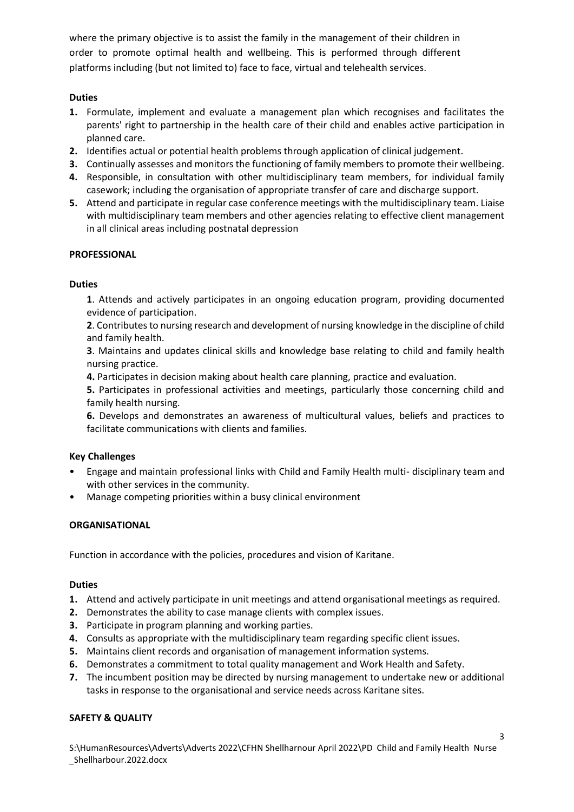where the primary objective is to assist the family in the management of their children in order to promote optimal health and wellbeing. This is performed through different platforms including (but not limited to) face to face, virtual and telehealth services.

# **Duties**

- **1.** Formulate, implement and evaluate a management plan which recognises and facilitates the parents' right to partnership in the health care of their child and enables active participation in planned care.
- **2.** Identifies actual or potential health problems through application of clinical judgement.
- **3.** Continually assesses and monitors the functioning of family members to promote their wellbeing.
- **4.** Responsible, in consultation with other multidisciplinary team members, for individual family casework; including the organisation of appropriate transfer of care and discharge support.
- **5.** Attend and participate in regular case conference meetings with the multidisciplinary team. Liaise with multidisciplinary team members and other agencies relating to effective client management in all clinical areas including postnatal depression

## **PROFESSIONAL**

## **Duties**

**1**. Attends and actively participates in an ongoing education program, providing documented evidence of participation.

**2**. Contributes to nursing research and development of nursing knowledge in the discipline of child and family health.

**3**. Maintains and updates clinical skills and knowledge base relating to child and family health nursing practice.

**4.** Participates in decision making about health care planning, practice and evaluation.

**5.** Participates in professional activities and meetings, particularly those concerning child and family health nursing.

**6.** Develops and demonstrates an awareness of multicultural values, beliefs and practices to facilitate communications with clients and families.

## **Key Challenges**

- Engage and maintain professional links with Child and Family Health multi- disciplinary team and with other services in the community.
- Manage competing priorities within a busy clinical environment

## **ORGANISATIONAL**

Function in accordance with the policies, procedures and vision of Karitane.

#### **Duties**

- **1.** Attend and actively participate in unit meetings and attend organisational meetings as required.
- **2.** Demonstrates the ability to case manage clients with complex issues.
- **3.** Participate in program planning and working parties.
- **4.** Consults as appropriate with the multidisciplinary team regarding specific client issues.
- **5.** Maintains client records and organisation of management information systems.
- **6.** Demonstrates a commitment to total quality management and Work Health and Safety.
- **7.** The incumbent position may be directed by nursing management to undertake new or additional tasks in response to the organisational and service needs across Karitane sites.

## **SAFETY & QUALITY**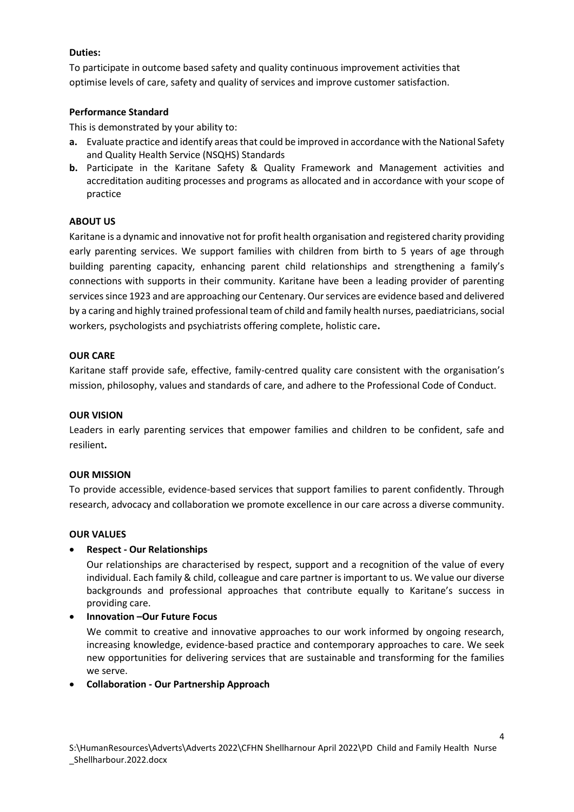## **Duties:**

To participate in outcome based safety and quality continuous improvement activities that optimise levels of care, safety and quality of services and improve customer satisfaction.

## **Performance Standard**

This is demonstrated by your ability to:

- **a.** Evaluate practice and identify areas that could be improved in accordance with the National Safety and Quality Health Service (NSQHS) Standards
- **b.** Participate in the Karitane Safety & Quality Framework and Management activities and accreditation auditing processes and programs as allocated and in accordance with your scope of practice

## **ABOUT US**

Karitane is a dynamic and innovative not for profit health organisation and registered charity providing early parenting services. We support families with children from birth to 5 years of age through building parenting capacity, enhancing parent child relationships and strengthening a family's connections with supports in their community. Karitane have been a leading provider of parenting services since 1923 and are approaching our Centenary. Our services are evidence based and delivered by a caring and highly trained professional team of child and family health nurses, paediatricians, social workers, psychologists and psychiatrists offering complete, holistic care**.**

## **OUR CARE**

Karitane staff provide safe, effective, family-centred quality care consistent with the organisation's mission, philosophy, values and standards of care, and adhere to the Professional Code of Conduct.

#### **OUR VISION**

Leaders in early parenting services that empower families and children to be confident, safe and resilient**.** 

#### **OUR MISSION**

To provide accessible, evidence-based services that support families to parent confidently. Through research, advocacy and collaboration we promote excellence in our care across a diverse community.

#### **OUR VALUES**

## **Respect - Our Relationships**

Our relationships are characterised by respect, support and a recognition of the value of every individual. Each family & child, colleague and care partner is important to us. We value our diverse backgrounds and professional approaches that contribute equally to Karitane's success in providing care.

## **Innovation –Our Future Focus**

We commit to creative and innovative approaches to our work informed by ongoing research, increasing knowledge, evidence-based practice and contemporary approaches to care. We seek new opportunities for delivering services that are sustainable and transforming for the families we serve.

## **Collaboration - Our Partnership Approach**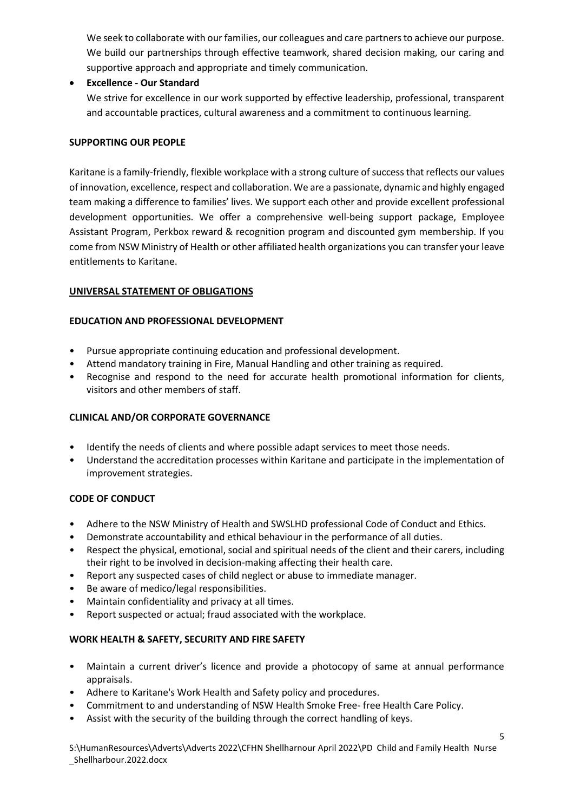We seek to collaborate with our families, our colleagues and care partners to achieve our purpose. We build our partnerships through effective teamwork, shared decision making, our caring and supportive approach and appropriate and timely communication.

**Excellence - Our Standard**

We strive for excellence in our work supported by effective leadership, professional, transparent and accountable practices, cultural awareness and a commitment to continuous learning.

## **SUPPORTING OUR PEOPLE**

Karitane is a family-friendly, flexible workplace with a strong culture of success that reflects our values of innovation, excellence, respect and collaboration. We are a passionate, dynamic and highly engaged team making a difference to families' lives. We support each other and provide excellent professional development opportunities. We offer a comprehensive well-being support package, Employee Assistant Program, Perkbox reward & recognition program and discounted gym membership. If you come from NSW Ministry of Health or other affiliated health organizations you can transfer your leave entitlements to Karitane.

# **UNIVERSAL STATEMENT OF OBLIGATIONS**

# **EDUCATION AND PROFESSIONAL DEVELOPMENT**

- Pursue appropriate continuing education and professional development.
- Attend mandatory training in Fire, Manual Handling and other training as required.
- Recognise and respond to the need for accurate health promotional information for clients, visitors and other members of staff.

# **CLINICAL AND/OR CORPORATE GOVERNANCE**

- Identify the needs of clients and where possible adapt services to meet those needs.
- Understand the accreditation processes within Karitane and participate in the implementation of improvement strategies.

## **CODE OF CONDUCT**

- Adhere to the NSW Ministry of Health and SWSLHD professional Code of Conduct and Ethics.
- Demonstrate accountability and ethical behaviour in the performance of all duties.
- Respect the physical, emotional, social and spiritual needs of the client and their carers, including their right to be involved in decision-making affecting their health care.
- Report any suspected cases of child neglect or abuse to immediate manager.
- Be aware of medico/legal responsibilities.
- Maintain confidentiality and privacy at all times.
- Report suspected or actual; fraud associated with the workplace.

## **WORK HEALTH & SAFETY, SECURITY AND FIRE SAFETY**

- Maintain a current driver's licence and provide a photocopy of same at annual performance appraisals.
- Adhere to Karitane's Work Health and Safety policy and procedures.
- Commitment to and understanding of NSW Health Smoke Free- free Health Care Policy.
- Assist with the security of the building through the correct handling of keys.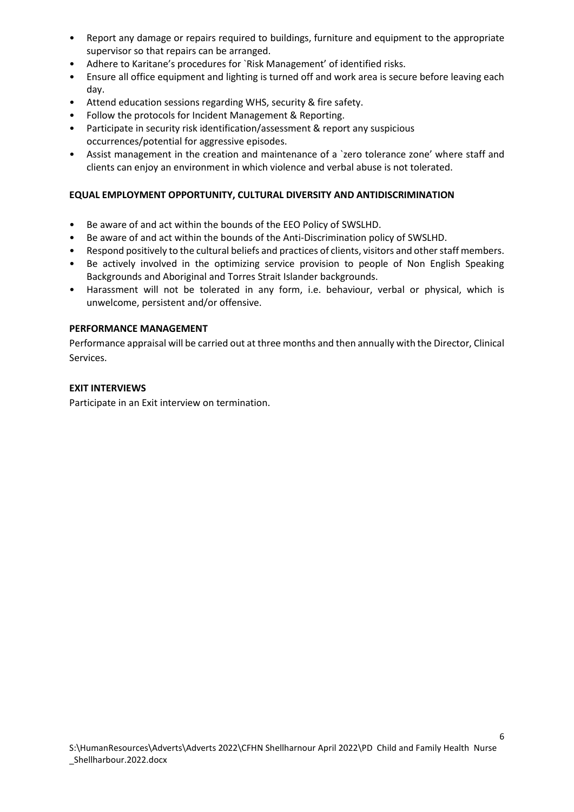- Report any damage or repairs required to buildings, furniture and equipment to the appropriate supervisor so that repairs can be arranged.
- Adhere to Karitane's procedures for `Risk Management' of identified risks.
- Ensure all office equipment and lighting is turned off and work area is secure before leaving each day.
- Attend education sessions regarding WHS, security & fire safety.
- Follow the protocols for Incident Management & Reporting.
- Participate in security risk identification/assessment & report any suspicious occurrences/potential for aggressive episodes.
- Assist management in the creation and maintenance of a 'zero tolerance zone' where staff and clients can enjoy an environment in which violence and verbal abuse is not tolerated.

## **EQUAL EMPLOYMENT OPPORTUNITY, CULTURAL DIVERSITY AND ANTIDISCRIMINATION**

- Be aware of and act within the bounds of the EEO Policy of SWSLHD.
- Be aware of and act within the bounds of the Anti-Discrimination policy of SWSLHD.
- Respond positively to the cultural beliefs and practices of clients, visitors and other staff members.
- Be actively involved in the optimizing service provision to people of Non English Speaking Backgrounds and Aboriginal and Torres Strait Islander backgrounds.
- Harassment will not be tolerated in any form, i.e. behaviour, verbal or physical, which is unwelcome, persistent and/or offensive.

#### **PERFORMANCE MANAGEMENT**

Performance appraisal will be carried out at three months and then annually with the Director, Clinical Services.

#### **EXIT INTERVIEWS**

Participate in an Exit interview on termination.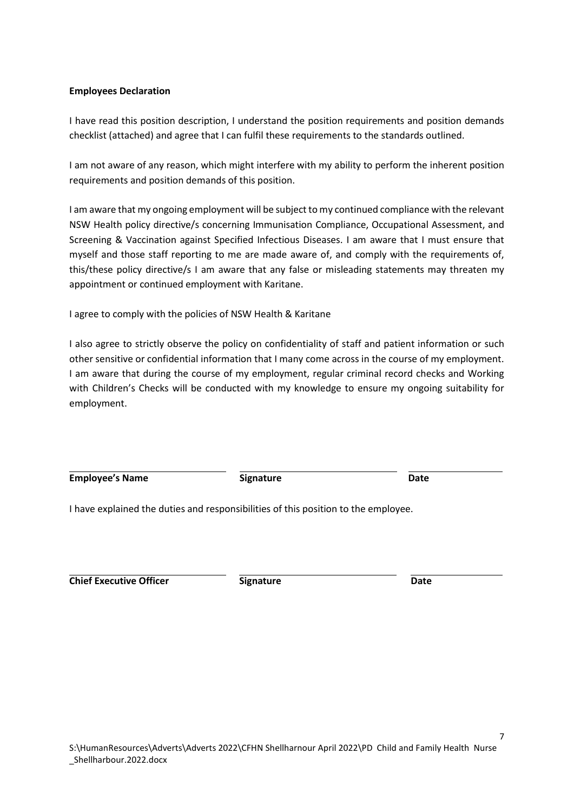#### **Employees Declaration**

I have read this position description, I understand the position requirements and position demands checklist (attached) and agree that I can fulfil these requirements to the standards outlined.

I am not aware of any reason, which might interfere with my ability to perform the inherent position requirements and position demands of this position.

I am aware that my ongoing employment will be subject to my continued compliance with the relevant NSW Health policy directive/s concerning Immunisation Compliance, Occupational Assessment, and Screening & Vaccination against Specified Infectious Diseases. I am aware that I must ensure that myself and those staff reporting to me are made aware of, and comply with the requirements of, this/these policy directive/s I am aware that any false or misleading statements may threaten my appointment or continued employment with Karitane.

I agree to comply with the policies of NSW Health & Karitane

I also agree to strictly observe the policy on confidentiality of staff and patient information or such other sensitive or confidential information that I many come across in the course of my employment. I am aware that during the course of my employment, regular criminal record checks and Working with Children's Checks will be conducted with my knowledge to ensure my ongoing suitability for employment.

**Employee's Name Construction Employee's Name Date Date** 

I have explained the duties and responsibilities of this position to the employee.

**Chief Executive Officer Signature Date**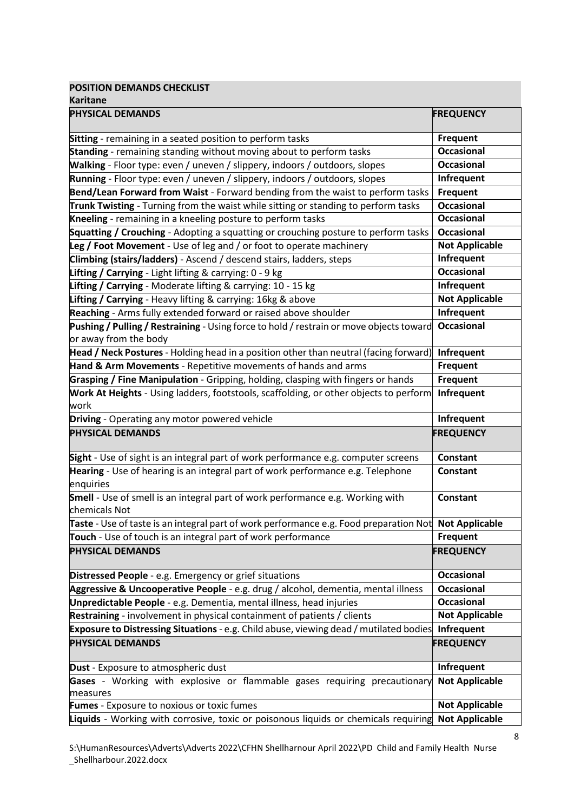**POSITION DEMANDS CHECKLIST**

| <b>Karitane</b>                                                                                                                                                              |                       |
|------------------------------------------------------------------------------------------------------------------------------------------------------------------------------|-----------------------|
| <b>PHYSICAL DEMANDS</b>                                                                                                                                                      | <b>FREQUENCY</b>      |
| Sitting - remaining in a seated position to perform tasks                                                                                                                    | <b>Frequent</b>       |
| Standing - remaining standing without moving about to perform tasks                                                                                                          | <b>Occasional</b>     |
| Walking - Floor type: even / uneven / slippery, indoors / outdoors, slopes                                                                                                   | <b>Occasional</b>     |
| Running - Floor type: even / uneven / slippery, indoors / outdoors, slopes                                                                                                   | Infrequent            |
| Bend/Lean Forward from Waist - Forward bending from the waist to perform tasks                                                                                               | <b>Frequent</b>       |
| Trunk Twisting - Turning from the waist while sitting or standing to perform tasks                                                                                           | <b>Occasional</b>     |
| Kneeling - remaining in a kneeling posture to perform tasks                                                                                                                  | <b>Occasional</b>     |
| Squatting / Crouching - Adopting a squatting or crouching posture to perform tasks                                                                                           | <b>Occasional</b>     |
| Leg / Foot Movement - Use of leg and / or foot to operate machinery                                                                                                          | <b>Not Applicable</b> |
| Climbing (stairs/ladders) - Ascend / descend stairs, ladders, steps                                                                                                          | Infrequent            |
| Lifting / Carrying - Light lifting & carrying: 0 - 9 kg                                                                                                                      | <b>Occasional</b>     |
| Lifting / Carrying - Moderate lifting & carrying: 10 - 15 kg                                                                                                                 | Infrequent            |
| Lifting / Carrying - Heavy lifting & carrying: 16kg & above                                                                                                                  | <b>Not Applicable</b> |
| Reaching - Arms fully extended forward or raised above shoulder                                                                                                              | Infrequent            |
| Pushing / Pulling / Restraining - Using force to hold / restrain or move objects toward<br>or away from the body                                                             | <b>Occasional</b>     |
| Head / Neck Postures - Holding head in a position other than neutral (facing forward)                                                                                        | Infrequent            |
| Hand & Arm Movements - Repetitive movements of hands and arms                                                                                                                | <b>Frequent</b>       |
| Grasping / Fine Manipulation - Gripping, holding, clasping with fingers or hands                                                                                             | <b>Frequent</b>       |
| Work At Heights - Using ladders, footstools, scaffolding, or other objects to perform<br>work                                                                                | Infrequent            |
| Driving - Operating any motor powered vehicle                                                                                                                                | Infrequent            |
| <b>PHYSICAL DEMANDS</b>                                                                                                                                                      | <b>FREQUENCY</b>      |
|                                                                                                                                                                              |                       |
| Sight - Use of sight is an integral part of work performance e.g. computer screens                                                                                           | Constant              |
| Hearing - Use of hearing is an integral part of work performance e.g. Telephone<br>enquiries                                                                                 | Constant              |
| Smell - Use of smell is an integral part of work performance e.g. Working with<br>chemicals Not                                                                              | <b>Constant</b>       |
|                                                                                                                                                                              |                       |
| Taste - Use of taste is an integral part of work performance e.g. Food preparation Not <b>Not Applicable</b><br>Touch - Use of touch is an integral part of work performance | <b>Frequent</b>       |
| <b>PHYSICAL DEMANDS</b>                                                                                                                                                      | <b>FREQUENCY</b>      |
| Distressed People - e.g. Emergency or grief situations                                                                                                                       | <b>Occasional</b>     |
| Aggressive & Uncooperative People - e.g. drug / alcohol, dementia, mental illness                                                                                            | <b>Occasional</b>     |
| Unpredictable People - e.g. Dementia, mental illness, head injuries                                                                                                          | <b>Occasional</b>     |
| Restraining - involvement in physical containment of patients / clients                                                                                                      | <b>Not Applicable</b> |
| Exposure to Distressing Situations - e.g. Child abuse, viewing dead / mutilated bodies                                                                                       | Infrequent            |
| <b>PHYSICAL DEMANDS</b>                                                                                                                                                      | <b>FREQUENCY</b>      |
| <b>Dust</b> - Exposure to atmospheric dust                                                                                                                                   | Infrequent            |
| Gases - Working with explosive or flammable gases requiring precautionary<br>measures                                                                                        | <b>Not Applicable</b> |
| <b>Fumes</b> - Exposure to noxious or toxic fumes                                                                                                                            | <b>Not Applicable</b> |